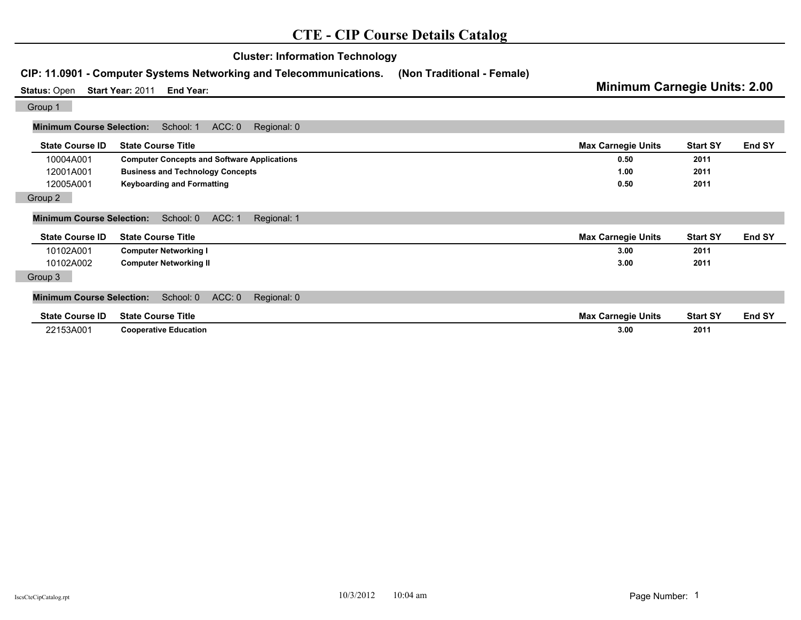| CIP: 11.0901 - Computer Systems Networking and Telecommunications.     |                                                    | (Non Traditional - Female) | <b>Minimum Carnegie Units: 2.00</b> |                 |        |
|------------------------------------------------------------------------|----------------------------------------------------|----------------------------|-------------------------------------|-----------------|--------|
| <b>Status: Open</b><br>Start Year: 2011<br>End Year:                   |                                                    |                            |                                     |                 |        |
| Group 1                                                                |                                                    |                            |                                     |                 |        |
| <b>Minimum Course Selection:</b>                                       | ACC: 0<br>School: 1<br>Regional: 0                 |                            |                                     |                 |        |
| <b>State Course ID</b>                                                 | <b>State Course Title</b>                          |                            | <b>Max Carnegie Units</b>           | <b>Start SY</b> | End SY |
| 10004A001                                                              | <b>Computer Concepts and Software Applications</b> |                            | 0.50                                | 2011            |        |
| 12001A001                                                              | <b>Business and Technology Concepts</b>            |                            | 1.00                                | 2011            |        |
| 12005A001                                                              | <b>Keyboarding and Formatting</b>                  |                            | 0.50                                | 2011            |        |
| Group 2                                                                |                                                    |                            |                                     |                 |        |
| ACC: 1<br><b>Minimum Course Selection:</b><br>School: 0<br>Regional: 1 |                                                    |                            |                                     |                 |        |
| <b>State Course ID</b>                                                 | <b>State Course Title</b>                          |                            | <b>Max Carnegie Units</b>           | <b>Start SY</b> | End SY |
| 10102A001                                                              | <b>Computer Networking I</b>                       |                            | 3.00                                | 2011            |        |
| 10102A002                                                              | <b>Computer Networking II</b>                      |                            | 3.00                                | 2011            |        |
| Group 3                                                                |                                                    |                            |                                     |                 |        |
| <b>Minimum Course Selection:</b>                                       | ACC: 0<br>School: 0<br>Regional: 0                 |                            |                                     |                 |        |
| <b>State Course ID</b>                                                 | <b>State Course Title</b>                          |                            | <b>Max Carnegie Units</b>           | <b>Start SY</b> | End SY |
| 22153A001                                                              | <b>Cooperative Education</b>                       |                            | 3.00                                | 2011            |        |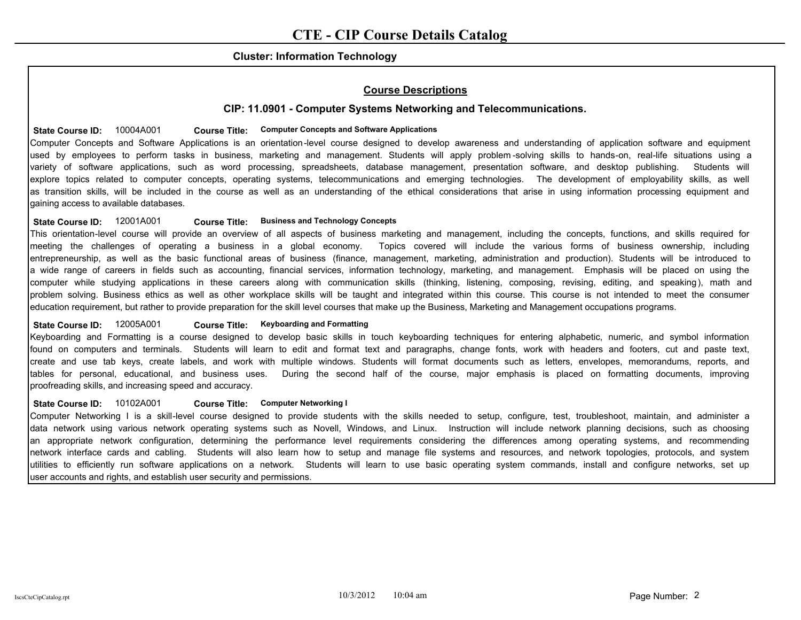## **Cluster: Information Technology**

# **Course Descriptions**

## **CIP: 11.0901 - Computer Systems Networking and Telecommunications.**

### State Course ID:  $10004A001$  Course Title: Computer Concepts and Software Applications

Computer Concepts and Software Applications is an orientation-level course designed to develop awareness and understanding of application software and equipment used by employees to perform tasks in business, marketing and management. Students will apply problem -solving skills to hands-on, real-life situations using a variety of software applications, such as word processing, spreadsheets, database management, presentation software, and desktop publishing. Students will explore topics related to computer concepts, operating systems, telecommunications and emerging technologies. The development of employability skills, as well as transition skills, will be included in the course as well as an understanding of the ethical considerations that arise in using information processing equipment and gaining access to available databases.

### **State Course ID:** 12001A001 **Business and Technology Concepts Course Title:**

This orientation-level course will provide an overview of all aspects of business marketing and management, including the concepts, functions, and skills required for meeting the challenges of operating a business in a global economy. Topics covered will include the various forms of business ownership, including entrepreneurship, as well as the basic functional areas of business (finance, management, marketing, administration and production). Students will be introduced to a wide range of careers in fields such as accounting, financial services, information technology, marketing, and management. Emphasis will be placed on using the computer while studying applications in these careers along with communication skills (thinking, listening, composing, revising, editing, and speaking), math and problem solving. Business ethics as well as other workplace skills will be taught and integrated within this course. This course is not intended to meet the consumer education requirement, but rather to provide preparation for the skill level courses that make up the Business, Marketing and Management occupations programs.

### State Course ID: 12005A001 **Course Title: Keyboarding and Formatting**

Keyboarding and Formatting is a course designed to develop basic skills in touch keyboarding techniques for entering alphabetic, numeric, and symbol information found on computers and terminals. Students will learn to edit and format text and paragraphs, change fonts, work with headers and footers, cut and paste text, create and use tab keys, create labels, and work with multiple windows. Students will format documents such as letters, envelopes, memorandums, reports, and tables for personal, educational, and business uses. During the second half of the course, major emphasis is placed on formatting documents, improving proofreading skills, and increasing speed and accuracy.

#### State Course ID:  $10102A001$  Course Title: Computer Networking I

Computer Networking I is a skill-level course designed to provide students with the skills needed to setup, configure, test, troubleshoot, maintain, and administer a data network using various network operating systems such as Novell, Windows, and Linux. Instruction will include network planning decisions, such as choosing an appropriate network configuration, determining the performance level requirements considering the differences among operating systems, and recommending network interface cards and cabling. Students will also learn how to setup and manage file systems and resources, and network topologies, protocols, and system utilities to efficiently run software applications on a network. Students will learn to use basic operating system commands, install and configure networks, set up user accounts and rights, and establish user security and permissions.